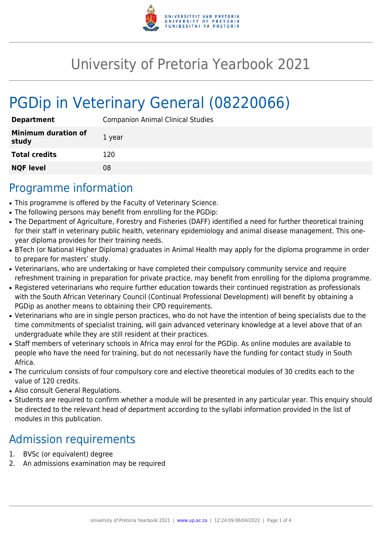

# University of Pretoria Yearbook 2021

# PGDip in Veterinary General (08220066)

| <b>Department</b>                   | <b>Companion Animal Clinical Studies</b> |
|-------------------------------------|------------------------------------------|
| <b>Minimum duration of</b><br>study | 1 year                                   |
| <b>Total credits</b>                | 120                                      |
| <b>NQF level</b>                    | 08                                       |

### Programme information

- This programme is offered by the Faculty of Veterinary Science.
- The following persons may benefit from enrolling for the PGDip:
- The Department of Agriculture, Forestry and Fisheries (DAFF) identified a need for further theoretical training for their staff in veterinary public health, veterinary epidemiology and animal disease management. This oneyear diploma provides for their training needs.
- BTech (or National Higher Diploma) graduates in Animal Health may apply for the diploma programme in order to prepare for masters' study.
- Veterinarians, who are undertaking or have completed their compulsory community service and require refreshment training in preparation for private practice, may benefit from enrolling for the diploma programme.
- Registered veterinarians who require further education towards their continued registration as professionals with the South African Veterinary Council (Continual Professional Development) will benefit by obtaining a PGDip as another means to obtaining their CPD requirements.
- Veterinarians who are in single person practices, who do not have the intention of being specialists due to the time commitments of specialist training, will gain advanced veterinary knowledge at a level above that of an undergraduate while they are still resident at their practices.
- Staff members of veterinary schools in Africa may enrol for the PGDip. As online modules are available to people who have the need for training, but do not necessarily have the funding for contact study in South Africa.
- The curriculum consists of four compulsory core and elective theoretical modules of 30 credits each to the value of 120 credits.
- Also consult General Regulations.
- Students are required to confirm whether a module will be presented in any particular year. This enquiry should be directed to the relevant head of department according to the syllabi information provided in the list of modules in this publication.

## Admission requirements

- 1. BVSc (or equivalent) degree
- 2. An admissions examination may be required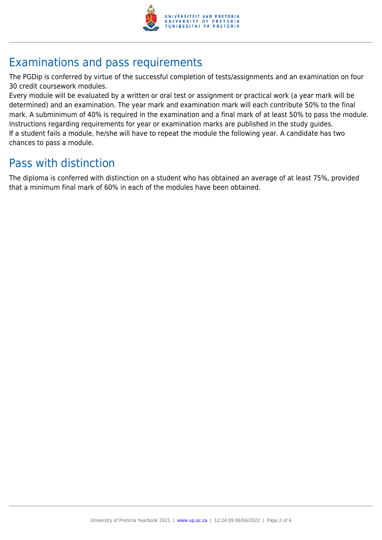

## Examinations and pass requirements

The PGDip is conferred by virtue of the successful completion of tests/assignments and an examination on four 30 credit coursework modules.

Every module will be evaluated by a written or oral test or assignment or practical work (a year mark will be determined) and an examination. The year mark and examination mark will each contribute 50% to the final mark. A subminimum of 40% is required in the examination and a final mark of at least 50% to pass the module. Instructions regarding requirements for year or examination marks are published in the study guides. If a student fails a module, he/she will have to repeat the module the following year. A candidate has two chances to pass a module.

### Pass with distinction

The diploma is conferred with distinction on a student who has obtained an average of at least 75%, provided that a minimum final mark of 60% in each of the modules have been obtained.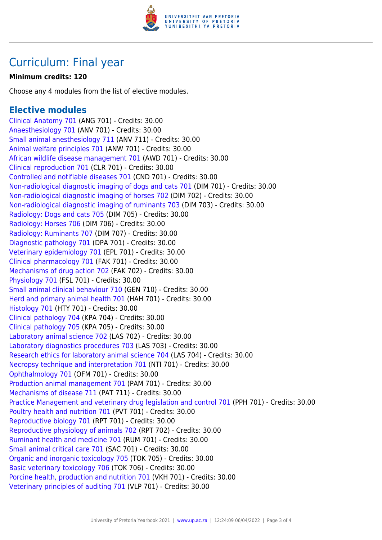

### Curriculum: Final year

#### **Minimum credits: 120**

Choose any 4 modules from the list of elective modules.

#### **Elective modules**

[Clinical Anatomy 701](https://www.up.ac.za/yearbooks/2021/modules/view/ANG 701) (ANG 701) - Credits: 30.00 [Anaesthesiology 701](https://www.up.ac.za/yearbooks/2021/modules/view/ANV 701) (ANV 701) - Credits: 30.00 [Small animal anesthesiology 711](https://www.up.ac.za/yearbooks/2021/modules/view/ANV 711) (ANV 711) - Credits: 30.00 [Animal welfare principles 701](https://www.up.ac.za/yearbooks/2021/modules/view/ANW 701) (ANW 701) - Credits: 30.00 [African wildlife disease management 701](https://www.up.ac.za/yearbooks/2021/modules/view/AWD 701) (AWD 701) - Credits: 30.00 [Clinical reproduction 701](https://www.up.ac.za/yearbooks/2021/modules/view/CLR 701) (CLR 701) - Credits: 30.00 [Controlled and notifiable diseases 701](https://www.up.ac.za/yearbooks/2021/modules/view/CND 701) (CND 701) - Credits: 30.00 [Non-radiological diagnostic imaging of dogs and cats 701](https://www.up.ac.za/yearbooks/2021/modules/view/DIM 701) (DIM 701) - Credits: 30.00 [Non-radiological diagnostic imaging of horses 702](https://www.up.ac.za/yearbooks/2021/modules/view/DIM 702) (DIM 702) - Credits: 30.00 [Non-radiological diagnostic imaging of ruminants 703](https://www.up.ac.za/yearbooks/2021/modules/view/DIM 703) (DIM 703) - Credits: 30.00 [Radiology: Dogs and cats 705](https://www.up.ac.za/yearbooks/2021/modules/view/DIM 705) (DIM 705) - Credits: 30.00 [Radiology: Horses 706](https://www.up.ac.za/yearbooks/2021/modules/view/DIM 706) (DIM 706) - Credits: 30.00 [Radiology: Ruminants 707](https://www.up.ac.za/yearbooks/2021/modules/view/DIM 707) (DIM 707) - Credits: 30.00 [Diagnostic pathology 701](https://www.up.ac.za/yearbooks/2021/modules/view/DPA 701) (DPA 701) - Credits: 30.00 [Veterinary epidemiology 701](https://www.up.ac.za/yearbooks/2021/modules/view/EPL 701) (EPL 701) - Credits: 30.00 [Clinical pharmacology 701](https://www.up.ac.za/yearbooks/2021/modules/view/FAK 701) (FAK 701) - Credits: 30.00 [Mechanisms of drug action 702](https://www.up.ac.za/yearbooks/2021/modules/view/FAK 702) (FAK 702) - Credits: 30.00 [Physiology 701](https://www.up.ac.za/yearbooks/2021/modules/view/FSL 701) (FSL 701) - Credits: 30.00 [Small animal clinical behaviour 710](https://www.up.ac.za/yearbooks/2021/modules/view/GEN 710) (GEN 710) - Credits: 30.00 [Herd and primary animal health 701](https://www.up.ac.za/yearbooks/2021/modules/view/HAH 701) (HAH 701) - Credits: 30.00 [Histology 701](https://www.up.ac.za/yearbooks/2021/modules/view/HTY 701) (HTY 701) - Credits: 30.00 [Clinical pathology 704](https://www.up.ac.za/yearbooks/2021/modules/view/KPA 704) (KPA 704) - Credits: 30.00 [Clinical pathology 705](https://www.up.ac.za/yearbooks/2021/modules/view/KPA 705) (KPA 705) - Credits: 30.00 [Laboratory animal science 702](https://www.up.ac.za/yearbooks/2021/modules/view/LAS 702) (LAS 702) - Credits: 30.00 [Laboratory diagnostics procedures 703](https://www.up.ac.za/yearbooks/2021/modules/view/LAS 703) (LAS 703) - Credits: 30.00 [Research ethics for laboratory animal science 704](https://www.up.ac.za/yearbooks/2021/modules/view/LAS 704) (LAS 704) - Credits: 30.00 [Necropsy technique and interpretation 701](https://www.up.ac.za/yearbooks/2021/modules/view/NTI 701) (NTI 701) - Credits: 30.00 [Ophthalmology 701](https://www.up.ac.za/yearbooks/2021/modules/view/OFM 701) (OFM 701) - Credits: 30.00 [Production animal management 701](https://www.up.ac.za/yearbooks/2021/modules/view/PAM 701) (PAM 701) - Credits: 30.00 [Mechanisms of disease 711](https://www.up.ac.za/yearbooks/2021/modules/view/PAT 711) (PAT 711) - Credits: 30.00 [Practice Management and veterinary drug legislation and control 701](https://www.up.ac.za/yearbooks/2021/modules/view/PPH 701) (PPH 701) - Credits: 30.00 [Poultry health and nutrition 701](https://www.up.ac.za/yearbooks/2021/modules/view/PVT 701) (PVT 701) - Credits: 30.00 [Reproductive biology 701](https://www.up.ac.za/yearbooks/2021/modules/view/RPT 701) (RPT 701) - Credits: 30.00 [Reproductive physiology of animals 702](https://www.up.ac.za/yearbooks/2021/modules/view/RPT 702) (RPT 702) - Credits: 30.00 [Ruminant health and medicine 701](https://www.up.ac.za/yearbooks/2021/modules/view/RUM 701) (RUM 701) - Credits: 30.00 [Small animal critical care 701](https://www.up.ac.za/yearbooks/2021/modules/view/SAC 701) (SAC 701) - Credits: 30.00 [Organic and inorganic toxicology 705](https://www.up.ac.za/yearbooks/2021/modules/view/TOK 705) (TOK 705) - Credits: 30.00 [Basic veterinary toxicology 706](https://www.up.ac.za/yearbooks/2021/modules/view/TOK 706) (TOK 706) - Credits: 30.00 [Porcine health, production and nutrition 701](https://www.up.ac.za/yearbooks/2021/modules/view/VKH 701) (VKH 701) - Credits: 30.00 [Veterinary principles of auditing 701](https://www.up.ac.za/yearbooks/2021/modules/view/VLP 701) (VLP 701) - Credits: 30.00